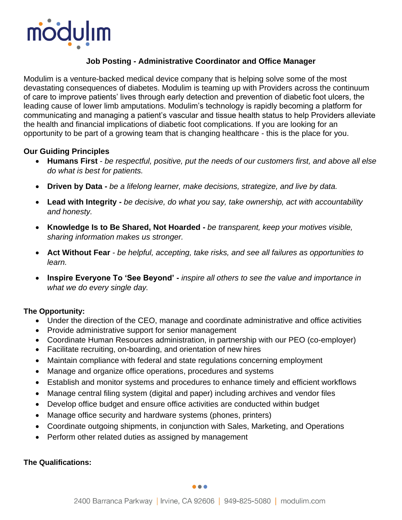

# **Job Posting - Administrative Coordinator and Office Manager**

Modulim is a venture-backed medical device company that is helping solve some of the most devastating consequences of diabetes. Modulim is teaming up with Providers across the continuum of care to improve patients' lives through early detection and prevention of diabetic foot ulcers, the leading cause of lower limb amputations. Modulim's technology is rapidly becoming a platform for communicating and managing a patient's vascular and tissue health status to help Providers alleviate the health and financial implications of diabetic foot complications. If you are looking for an opportunity to be part of a growing team that is changing healthcare - this is the place for you.

### **Our Guiding Principles**

- **Humans First** *be respectful, positive, put the needs of our customers first, and above all else do what is best for patients.*
- **Driven by Data -** *be a lifelong learner, make decisions, strategize, and live by data.*
- **Lead with Integrity -** *be decisive, do what you say, take ownership, act with accountability and honesty.*
- **Knowledge Is to Be Shared, Not Hoarded -** *be transparent, keep your motives visible, sharing information makes us stronger.*
- **Act Without Fear** *be helpful, accepting, take risks, and see all failures as opportunities to learn.*
- **Inspire Everyone To 'See Beyond' -** *inspire all others to see the value and importance in what we do every single day.*

## **The Opportunity:**

- Under the direction of the CEO, manage and coordinate administrative and office activities
- Provide administrative support for senior management
- Coordinate Human Resources administration, in partnership with our PEO (co-employer)
- Facilitate recruiting, on-boarding, and orientation of new hires
- Maintain compliance with federal and state regulations concerning employment
- Manage and organize office operations, procedures and systems
- Establish and monitor systems and procedures to enhance timely and efficient workflows
- Manage central filing system (digital and paper) including archives and vendor files
- Develop office budget and ensure office activities are conducted within budget
- Manage office security and hardware systems (phones, printers)
- Coordinate outgoing shipments, in conjunction with Sales, Marketing, and Operations
- Perform other related duties as assigned by management

#### **The Qualifications:**